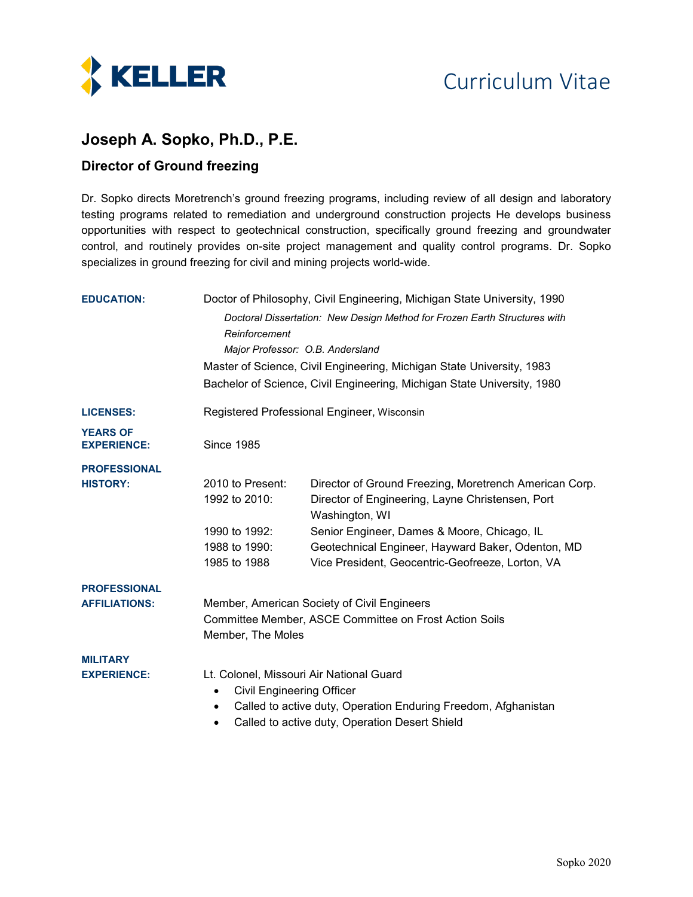

## **Joseph A. Sopko, Ph.D., P.E.**

## **Director of Ground freezing**

Dr. Sopko directs Moretrench's ground freezing programs, including review of all design and laboratory testing programs related to remediation and underground construction projects He develops business opportunities with respect to geotechnical construction, specifically ground freezing and groundwater control, and routinely provides on-site project management and quality control programs. Dr. Sopko specializes in ground freezing for civil and mining projects world-wide.

| <b>EDUCATION:</b>                     | Doctor of Philosophy, Civil Engineering, Michigan State University, 1990                                                                                                                                                   |                                                                           |  |
|---------------------------------------|----------------------------------------------------------------------------------------------------------------------------------------------------------------------------------------------------------------------------|---------------------------------------------------------------------------|--|
|                                       | Reinforcement                                                                                                                                                                                                              | Doctoral Dissertation: New Design Method for Frozen Earth Structures with |  |
|                                       | Major Professor: O.B. Andersland                                                                                                                                                                                           |                                                                           |  |
|                                       | Master of Science, Civil Engineering, Michigan State University, 1983                                                                                                                                                      |                                                                           |  |
|                                       | Bachelor of Science, Civil Engineering, Michigan State University, 1980                                                                                                                                                    |                                                                           |  |
| <b>LICENSES:</b>                      | Registered Professional Engineer, Wisconsin                                                                                                                                                                                |                                                                           |  |
| <b>YEARS OF</b><br><b>EXPERIENCE:</b> | <b>Since 1985</b>                                                                                                                                                                                                          |                                                                           |  |
| <b>PROFESSIONAL</b>                   |                                                                                                                                                                                                                            |                                                                           |  |
| <b>HISTORY:</b>                       | 2010 to Present:                                                                                                                                                                                                           | Director of Ground Freezing, Moretrench American Corp.                    |  |
|                                       | 1992 to 2010:                                                                                                                                                                                                              | Director of Engineering, Layne Christensen, Port<br>Washington, WI        |  |
|                                       | 1990 to 1992:                                                                                                                                                                                                              | Senior Engineer, Dames & Moore, Chicago, IL                               |  |
|                                       | 1988 to 1990:                                                                                                                                                                                                              | Geotechnical Engineer, Hayward Baker, Odenton, MD                         |  |
|                                       | 1985 to 1988                                                                                                                                                                                                               | Vice President, Geocentric-Geofreeze, Lorton, VA                          |  |
| <b>PROFESSIONAL</b>                   |                                                                                                                                                                                                                            |                                                                           |  |
| <b>AFFILIATIONS:</b>                  | Member, American Society of Civil Engineers                                                                                                                                                                                |                                                                           |  |
|                                       | Committee Member, ASCE Committee on Frost Action Soils<br>Member, The Moles                                                                                                                                                |                                                                           |  |
| <b>MILITARY</b>                       |                                                                                                                                                                                                                            |                                                                           |  |
| <b>EXPERIENCE:</b>                    | Lt. Colonel, Missouri Air National Guard<br><b>Civil Engineering Officer</b><br>$\bullet$<br>Called to active duty, Operation Enduring Freedom, Afghanistan<br>$\bullet$<br>Called to active duty, Operation Desert Shield |                                                                           |  |